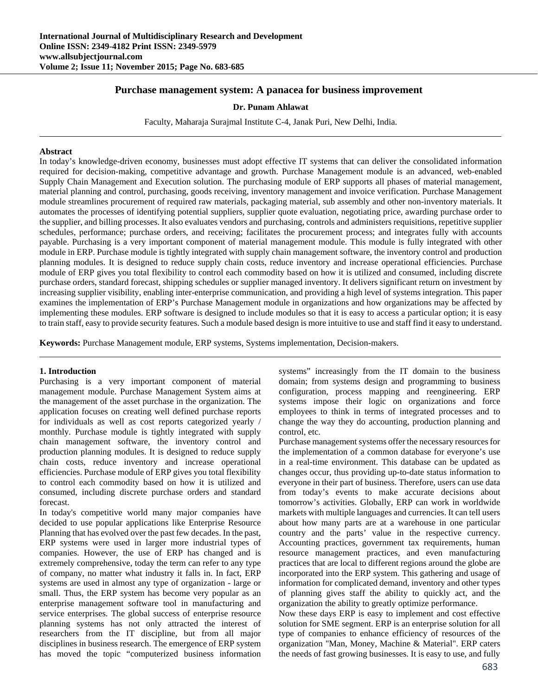# **Purchase management system: A panacea for business improvement**

### **Dr. Punam Ahlawat**

Faculty, Maharaja Surajmal Institute C-4, Janak Puri, New Delhi, India.

### **Abstract**

In today's knowledge-driven economy, businesses must adopt effective IT systems that can deliver the consolidated information required for decision-making, competitive advantage and growth. Purchase Management module is an advanced, web-enabled Supply Chain Management and Execution solution. The purchasing module of ERP supports all phases of material management, material planning and control, purchasing, goods receiving, inventory management and invoice verification. Purchase Management module streamlines procurement of required raw materials, packaging material, sub assembly and other non-inventory materials. It automates the processes of identifying potential suppliers, supplier quote evaluation, negotiating price, awarding purchase order to the supplier, and billing processes. It also evaluates vendors and purchasing, controls and administers requisitions, repetitive supplier schedules, performance; purchase orders, and receiving; facilitates the procurement process; and integrates fully with accounts payable. Purchasing is a very important component of material management module. This module is fully integrated with other module in ERP. Purchase module is tightly integrated with supply chain management software, the inventory control and production planning modules. It is designed to reduce supply chain costs, reduce inventory and increase operational efficiencies. Purchase module of ERP gives you total flexibility to control each commodity based on how it is utilized and consumed, including discrete purchase orders, standard forecast, shipping schedules or supplier managed inventory. It delivers significant return on investment by increasing supplier visibility, enabling inter-enterprise communication, and providing a high level of systems integration. This paper examines the implementation of ERP's Purchase Management module in organizations and how organizations may be affected by implementing these modules. ERP software is designed to include modules so that it is easy to access a particular option; it is easy to train staff, easy to provide security features. Such a module based design is more intuitive to use and staff find it easy to understand.

**Keywords:** Purchase Management module, ERP systems, Systems implementation, Decision-makers.

## **1. Introduction**

Purchasing is a very important component of material management module. Purchase Management System aims at the management of the asset purchase in the organization. The application focuses on creating well defined purchase reports for individuals as well as cost reports categorized yearly / monthly. Purchase module is tightly integrated with supply chain management software, the inventory control and production planning modules. It is designed to reduce supply chain costs, reduce inventory and increase operational efficiencies. Purchase module of ERP gives you total flexibility to control each commodity based on how it is utilized and consumed, including discrete purchase orders and standard forecast.

In today's competitive world many major companies have decided to use popular applications like Enterprise Resource Planning that has evolved over the past few decades. In the past, ERP systems were used in larger more industrial types of companies. However, the use of ERP has changed and is extremely comprehensive, today the term can refer to any type of company, no matter what industry it falls in. In fact, ERP systems are used in almost any type of organization - large or small. Thus, the ERP system has become very popular as an enterprise management software tool in manufacturing and service enterprises. The global success of enterprise resource planning systems has not only attracted the interest of researchers from the IT discipline, but from all major disciplines in business research. The emergence of ERP system has moved the topic "computerized business information systems" increasingly from the IT domain to the business domain; from systems design and programming to business configuration, process mapping and reengineering. ERP systems impose their logic on organizations and force employees to think in terms of integrated processes and to change the way they do accounting, production planning and control, etc.

Purchase management systems offer the necessary resources for the implementation of a common database for everyone's use in a real-time environment. This database can be updated as changes occur, thus providing up-to-date status information to everyone in their part of business. Therefore, users can use data from today's events to make accurate decisions about tomorrow's activities. Globally, ERP can work in worldwide markets with multiple languages and currencies. It can tell users about how many parts are at a warehouse in one particular country and the parts' value in the respective currency. Accounting practices, government tax requirements, human resource management practices, and even manufacturing practices that are local to different regions around the globe are incorporated into the ERP system. This gathering and usage of information for complicated demand, inventory and other types of planning gives staff the ability to quickly act, and the organization the ability to greatly optimize performance.

Now these days ERP is easy to implement and cost effective solution for SME segment. ERP is an enterprise solution for all type of companies to enhance efficiency of resources of the organization "Man, Money, Machine & Material". ERP caters the needs of fast growing businesses. It is easy to use, and fully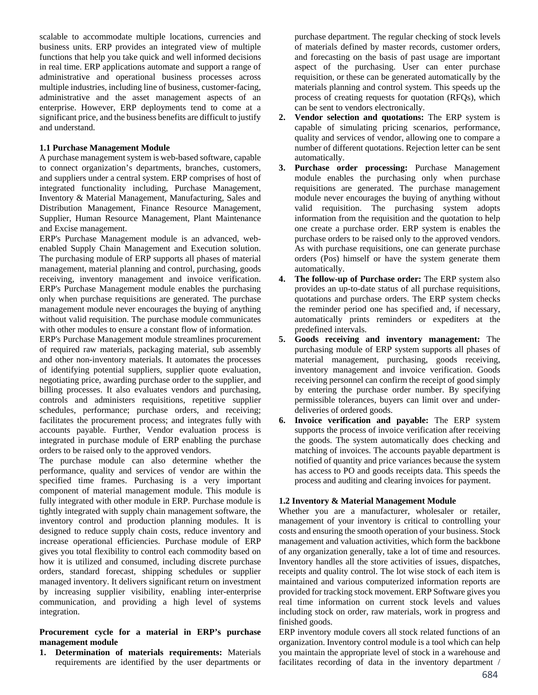scalable to accommodate multiple locations, currencies and business units. ERP provides an integrated view of multiple functions that help you take quick and well informed decisions in real time. ERP applications automate and support a range of administrative and operational business processes across multiple industries, including line of business, customer-facing, administrative and the asset management aspects of an enterprise. However, ERP deployments tend to come at a significant price, and the business benefits are difficult to justify and understand.

### **1.1 Purchase Management Module**

A purchase management system is web-based software, capable to connect organization's departments, branches, customers, and suppliers under a central system. ERP comprises of host of integrated functionality including, Purchase Management, Inventory & Material Management, Manufacturing, Sales and Distribution Management, Finance Resource Management, Supplier, Human Resource Management, Plant Maintenance and Excise management.

ERP's Purchase Management module is an advanced, webenabled Supply Chain Management and Execution solution. The purchasing module of ERP supports all phases of material management, material planning and control, purchasing, goods receiving, inventory management and invoice verification. ERP's Purchase Management module enables the purchasing only when purchase requisitions are generated. The purchase management module never encourages the buying of anything without valid requisition. The purchase module communicates with other modules to ensure a constant flow of information.

ERP's Purchase Management module streamlines procurement of required raw materials, packaging material, sub assembly and other non-inventory materials. It automates the processes of identifying potential suppliers, supplier quote evaluation, negotiating price, awarding purchase order to the supplier, and billing processes. It also evaluates vendors and purchasing, controls and administers requisitions, repetitive supplier schedules, performance; purchase orders, and receiving; facilitates the procurement process; and integrates fully with accounts payable. Further, Vendor evaluation process is integrated in purchase module of ERP enabling the purchase orders to be raised only to the approved vendors.

The purchase module can also determine whether the performance, quality and services of vendor are within the specified time frames. Purchasing is a very important component of material management module. This module is fully integrated with other module in ERP. Purchase module is tightly integrated with supply chain management software, the inventory control and production planning modules. It is designed to reduce supply chain costs, reduce inventory and increase operational efficiencies. Purchase module of ERP gives you total flexibility to control each commodity based on how it is utilized and consumed, including discrete purchase orders, standard forecast, shipping schedules or supplier managed inventory. It delivers significant return on investment by increasing supplier visibility, enabling inter-enterprise communication, and providing a high level of systems integration.

## **Procurement cycle for a material in ERP's purchase management module**

**1. Determination of materials requirements:** Materials requirements are identified by the user departments or

purchase department. The regular checking of stock levels of materials defined by master records, customer orders, and forecasting on the basis of past usage are important aspect of the purchasing. User can enter purchase requisition, or these can be generated automatically by the materials planning and control system. This speeds up the process of creating requests for quotation (RFQs), which can be sent to vendors electronically.

- **2. Vendor selection and quotations:** The ERP system is capable of simulating pricing scenarios, performance, quality and services of vendor, allowing one to compare a number of different quotations. Rejection letter can be sent automatically.
- **3. Purchase order processing:** Purchase Management module enables the purchasing only when purchase requisitions are generated. The purchase management module never encourages the buying of anything without valid requisition. The purchasing system adopts information from the requisition and the quotation to help one create a purchase order. ERP system is enables the purchase orders to be raised only to the approved vendors. As with purchase requisitions, one can generate purchase orders (Pos) himself or have the system generate them automatically.
- **4. The follow-up of Purchase order:** The ERP system also provides an up-to-date status of all purchase requisitions, quotations and purchase orders. The ERP system checks the reminder period one has specified and, if necessary, automatically prints reminders or expediters at the predefined intervals.
- **5. Goods receiving and inventory management:** The purchasing module of ERP system supports all phases of material management, purchasing, goods receiving, inventory management and invoice verification. Goods receiving personnel can confirm the receipt of good simply by entering the purchase order number. By specifying permissible tolerances, buyers can limit over and underdeliveries of ordered goods.
- **6. Invoice verification and payable:** The ERP system supports the process of invoice verification after receiving the goods. The system automatically does checking and matching of invoices. The accounts payable department is notified of quantity and price variances because the system has access to PO and goods receipts data. This speeds the process and auditing and clearing invoices for payment.

## **1.2 Inventory & Material Management Module**

Whether you are a manufacturer, wholesaler or retailer, management of your inventory is critical to controlling your costs and ensuring the smooth operation of your business. Stock management and valuation activities, which form the backbone of any organization generally, take a lot of time and resources. Inventory handles all the store activities of issues, dispatches, receipts and quality control. The lot wise stock of each item is maintained and various computerized information reports are provided for tracking stock movement. ERP Software gives you real time information on current stock levels and values including stock on order, raw materials, work in progress and finished goods.

ERP inventory module covers all stock related functions of an organization. Inventory control module is a tool which can help you maintain the appropriate level of stock in a warehouse and facilitates recording of data in the inventory department /